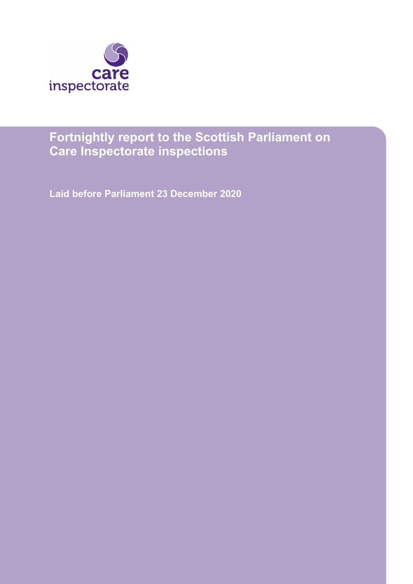

# **Fortnightly report to the Scottish Parliament on Care Inspectorate inspections**

**Laid before Parliament 23 December 2020**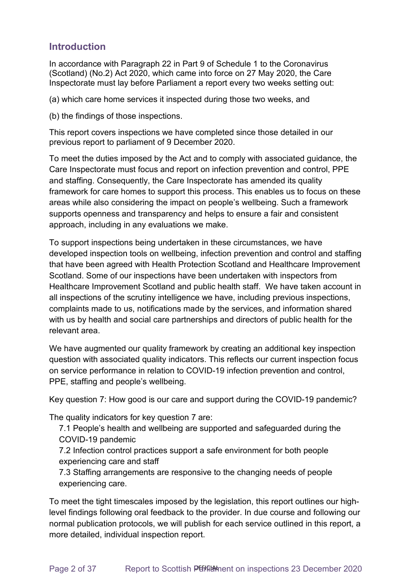### **Introduction**

In accordance with Paragraph 22 in Part 9 of Schedule 1 to the Coronavirus (Scotland) (No.2) Act 2020, which came into force on 27 May 2020, the Care Inspectorate must lay before Parliament a report every two weeks setting out:

(a) which care home services it inspected during those two weeks, and

(b) the findings of those inspections.

This report covers inspections we have completed since those detailed in our previous report to parliament of 9 December 2020.

To meet the duties imposed by the Act and to comply with associated guidance, the Care Inspectorate must focus and report on infection prevention and control, PPE and staffing. Consequently, the Care Inspectorate has amended its quality framework for care homes to support this process. This enables us to focus on these areas while also considering the impact on people's wellbeing. Such a framework supports openness and transparency and helps to ensure a fair and consistent approach, including in any evaluations we make.

To support inspections being undertaken in these circumstances, we have developed inspection tools on wellbeing, infection prevention and control and staffing that have been agreed with Health Protection Scotland and Healthcare Improvement Scotland. Some of our inspections have been undertaken with inspectors from Healthcare Improvement Scotland and public health staff. We have taken account in all inspections of the scrutiny intelligence we have, including previous inspections, complaints made to us, notifications made by the services, and information shared with us by health and social care partnerships and directors of public health for the relevant area.

We have augmented our quality framework by creating an additional key inspection question with associated quality indicators. This reflects our current inspection focus on service performance in relation to COVID-19 infection prevention and control, PPE, staffing and people's wellbeing.

Key question 7: How good is our care and support during the COVID-19 pandemic?

The quality indicators for key question 7 are:

7.1 People's health and wellbeing are supported and safeguarded during the COVID-19 pandemic

7.2 Infection control practices support a safe environment for both people experiencing care and staff

7.3 Staffing arrangements are responsive to the changing needs of people experiencing care.

To meet the tight timescales imposed by the legislation, this report outlines our highlevel findings following oral feedback to the provider. In due course and following our normal publication protocols, we will publish for each service outlined in this report, a more detailed, individual inspection report.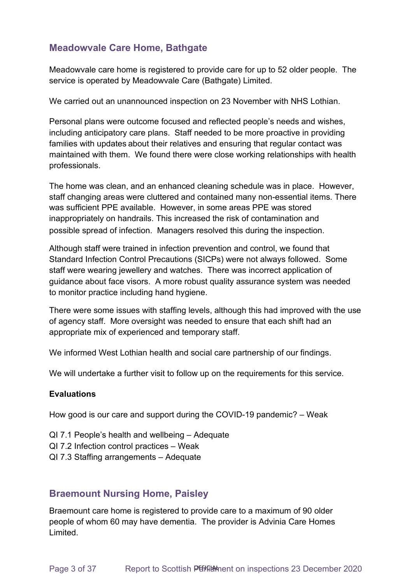# **Meadowvale Care Home, Bathgate**

Meadowvale care home is registered to provide care for up to 52 older people. The service is operated by Meadowvale Care (Bathgate) Limited.

We carried out an unannounced inspection on 23 November with NHS Lothian.

Personal plans were outcome focused and reflected people's needs and wishes, including anticipatory care plans. Staff needed to be more proactive in providing families with updates about their relatives and ensuring that regular contact was maintained with them. We found there were close working relationships with health professionals.

The home was clean, and an enhanced cleaning schedule was in place. However, staff changing areas were cluttered and contained many non-essential items. There was sufficient PPE available. However, in some areas PPE was stored inappropriately on handrails. This increased the risk of contamination and possible spread of infection. Managers resolved this during the inspection.

Although staff were trained in infection prevention and control, we found that Standard Infection Control Precautions (SICPs) were not always followed. Some staff were wearing jewellery and watches. There was incorrect application of guidance about face visors. A more robust quality assurance system was needed to monitor practice including hand hygiene.

There were some issues with staffing levels, although this had improved with the use of agency staff. More oversight was needed to ensure that each shift had an appropriate mix of experienced and temporary staff.

We informed West Lothian health and social care partnership of our findings.

We will undertake a further visit to follow up on the requirements for this service.

### **Evaluations**

How good is our care and support during the COVID-19 pandemic? – Weak

- QI 7.1 People's health and wellbeing Adequate
- QI 7.2 Infection control practices Weak
- QI 7.3 Staffing arrangements Adequate

### **Braemount Nursing Home, Paisley**

Braemount care home is registered to provide care to a maximum of 90 older people of whom 60 may have dementia. The provider is Advinia Care Homes Limited.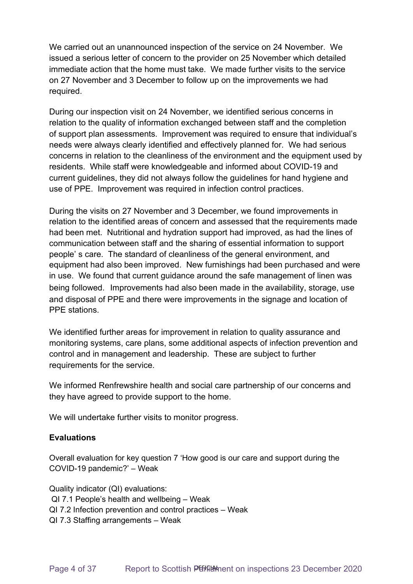We carried out an unannounced inspection of the service on 24 November. We issued a serious letter of concern to the provider on 25 November which detailed immediate action that the home must take. We made further visits to the service on 27 November and 3 December to follow up on the improvements we had required.

During our inspection visit on 24 November, we identified serious concerns in relation to the quality of information exchanged between staff and the completion of support plan assessments. Improvement was required to ensure that individual's needs were always clearly identified and effectively planned for. We had serious concerns in relation to the cleanliness of the environment and the equipment used by residents. While staff were knowledgeable and informed about COVID-19 and current guidelines, they did not always follow the guidelines for hand hygiene and use of PPE. Improvement was required in infection control practices.

During the visits on 27 November and 3 December, we found improvements in relation to the identified areas of concern and assessed that the requirements made had been met. Nutritional and hydration support had improved, as had the lines of communication between staff and the sharing of essential information to support people' s care. The standard of cleanliness of the general environment, and equipment had also been improved. New furnishings had been purchased and were in use. We found that current guidance around the safe management of linen was being followed. Improvements had also been made in the availability, storage, use and disposal of PPE and there were improvements in the signage and location of PPE stations.

We identified further areas for improvement in relation to quality assurance and monitoring systems, care plans, some additional aspects of infection prevention and control and in management and leadership. These are subject to further requirements for the service.

We informed Renfrewshire health and social care partnership of our concerns and they have agreed to provide support to the home.

We will undertake further visits to monitor progress.

### **Evaluations**

Overall evaluation for key question 7 'How good is our care and support during the COVID-19 pandemic?' – Weak 

Quality indicator (QI) evaluations: QI 7.1 People's health and wellbeing – Weak QI 7.2 Infection prevention and control practices – Weak QI 7.3 Staffing arrangements – Weak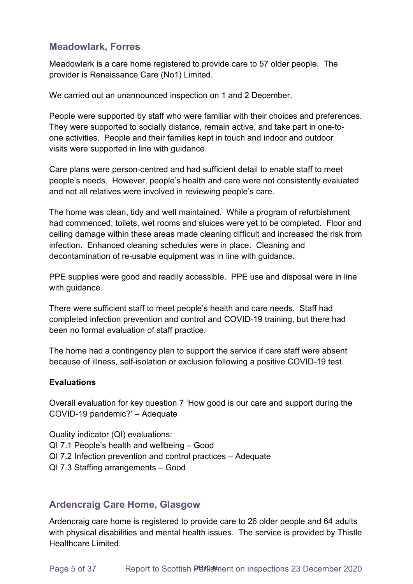### **Meadowlark, Forres**

Meadowlark is a care home registered to provide care to 57 older people. The provider is Renaissance Care (No1) Limited.

We carried out an unannounced inspection on 1 and 2 December.

People were supported by staff who were familiar with their choices and preferences. They were supported to socially distance, remain active, and take part in one-toone activities. People and their families kept in touch and indoor and outdoor visits were supported in line with guidance.

Care plans were person-centred and had sufficient detail to enable staff to meet people's needs. However, people's health and care were not consistently evaluated and not all relatives were involved in reviewing people's care.

The home was clean, tidy and well maintained. While a program of refurbishment had commenced, toilets, wet rooms and sluices were yet to be completed. Floor and ceiling damage within these areas made cleaning difficult and increased the risk from infection. Enhanced cleaning schedules were in place. Cleaning and decontamination of re-usable equipment was in line with guidance.

PPE supplies were good and readily accessible. PPE use and disposal were in line with guidance.

There were sufficient staff to meet people's health and care needs. Staff had completed infection prevention and control and COVID-19 training, but there had been no formal evaluation of staff practice.

The home had a contingency plan to support the service if care staff were absent because of illness, self-isolation or exclusion following a positive COVID-19 test.

### **Evaluations**

Overall evaluation for key question 7 'How good is our care and support during the COVID-19 pandemic?' – Adequate

Quality indicator (QI) evaluations: QI 7.1 People's health and wellbeing – Good QI 7.2 Infection prevention and control practices – Adequate QI 7.3 Staffing arrangements – Good

### **Ardencraig Care Home, Glasgow**

Ardencraig care home is registered to provide care to 26 older people and 64 adults with physical disabilities and mental health issues. The service is provided by Thistle Healthcare Limited.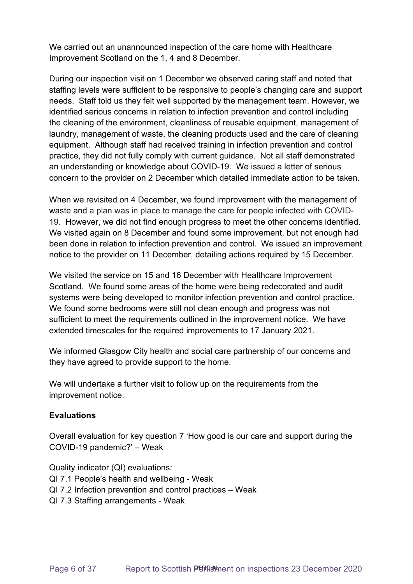We carried out an unannounced inspection of the care home with Healthcare Improvement Scotland on the 1, 4 and 8 December.

During our inspection visit on 1 December we observed caring staff and noted that staffing levels were sufficient to be responsive to people's changing care and support needs. Staff told us they felt well supported by the management team. However, we identified serious concerns in relation to infection prevention and control including the cleaning of the environment, cleanliness of reusable equipment, management of laundry, management of waste, the cleaning products used and the care of cleaning equipment. Although staff had received training in infection prevention and control practice, they did not fully comply with current guidance. Not all staff demonstrated an understanding or knowledge about COVID-19. We issued a letter of serious concern to the provider on 2 December which detailed immediate action to be taken.

When we revisited on 4 December, we found improvement with the management of waste and a plan was in place to manage the care for people infected with COVID-19. However, we did not find enough progress to meet the other concerns identified. We visited again on 8 December and found some improvement, but not enough had been done in relation to infection prevention and control. We issued an improvement notice to the provider on 11 December, detailing actions required by 15 December.

We visited the service on 15 and 16 December with Healthcare Improvement Scotland. We found some areas of the home were being redecorated and audit systems were being developed to monitor infection prevention and control practice. We found some bedrooms were still not clean enough and progress was not sufficient to meet the requirements outlined in the improvement notice. We have extended timescales for the required improvements to 17 January 2021.

We informed Glasgow City health and social care partnership of our concerns and they have agreed to provide support to the home.

We will undertake a further visit to follow up on the requirements from the improvement notice.

### **Evaluations**

Overall evaluation for key question 7 'How good is our care and support during the COVID-19 pandemic?' – Weak

Quality indicator (QI) evaluations: QI 7.1 People's health and wellbeing - Weak QI 7.2 Infection prevention and control practices – Weak QI 7.3 Staffing arrangements - Weak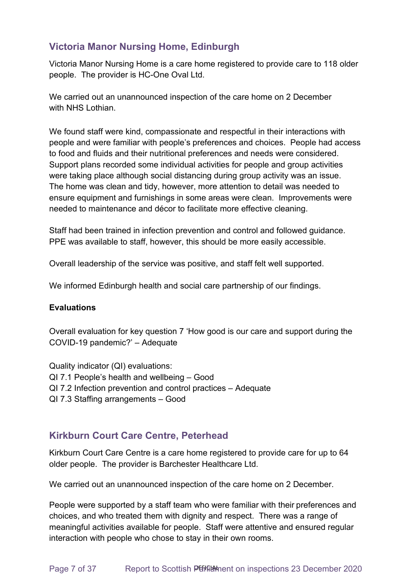## **Victoria Manor Nursing Home, Edinburgh**

Victoria Manor Nursing Home is a care home registered to provide care to 118 older people. The provider is HC-One Oval Ltd.

We carried out an unannounced inspection of the care home on 2 December with NHS I othian

We found staff were kind, compassionate and respectful in their interactions with people and were familiar with people's preferences and choices. People had access to food and fluids and their nutritional preferences and needs were considered. Support plans recorded some individual activities for people and group activities were taking place although social distancing during group activity was an issue. The home was clean and tidy, however, more attention to detail was needed to ensure equipment and furnishings in some areas were clean. Improvements were needed to maintenance and décor to facilitate more effective cleaning.

Staff had been trained in infection prevention and control and followed guidance. PPE was available to staff, however, this should be more easily accessible.

Overall leadership of the service was positive, and staff felt well supported.

We informed Edinburgh health and social care partnership of our findings.

### **Evaluations**

Overall evaluation for key question 7 'How good is our care and support during the COVID-19 pandemic?' – Adequate

- Quality indicator (QI) evaluations: QI 7.1 People's health and wellbeing – Good
- 
- QI 7.2 Infection prevention and control practices Adequate
- QI 7.3 Staffing arrangements Good

### **Kirkburn Court Care Centre, Peterhead**

Kirkburn Court Care Centre is a care home registered to provide care for up to 64 older people. The provider is Barchester Healthcare Ltd.

We carried out an unannounced inspection of the care home on 2 December.

People were supported by a staff team who were familiar with their preferences and choices, and who treated them with dignity and respect. There was a range of meaningful activities available for people. Staff were attentive and ensured regular interaction with people who chose to stay in their own rooms.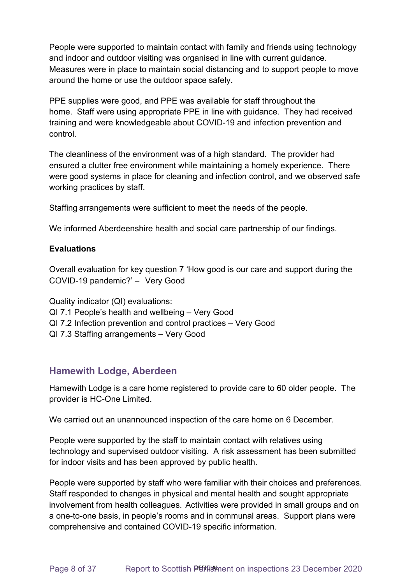People were supported to maintain contact with family and friends using technology and indoor and outdoor visiting was organised in line with current guidance. Measures were in place to maintain social distancing and to support people to move around the home or use the outdoor space safely.

PPE supplies were good, and PPE was available for staff throughout the home. Staff were using appropriate PPE in line with guidance. They had received training and were knowledgeable about COVID-19 and infection prevention and control.

The cleanliness of the environment was of a high standard. The provider had ensured a clutter free environment while maintaining a homely experience. There were good systems in place for cleaning and infection control, and we observed safe working practices by staff.

Staffing arrangements were sufficient to meet the needs of the people.

We informed Aberdeenshire health and social care partnership of our findings.

#### **Evaluations**

Overall evaluation for key question 7 'How good is our care and support during the COVID-19 pandemic?' –   Very Good

Quality indicator (QI) evaluations: QI 7.1 People's health and wellbeing – Very Good QI 7.2 Infection prevention and control practices – Very Good QI 7.3 Staffing arrangements – Very Good

### **Hamewith Lodge, Aberdeen**

Hamewith Lodge is a care home registered to provide care to 60 older people. The provider is HC-One Limited.

We carried out an unannounced inspection of the care home on 6 December.

People were supported by the staff to maintain contact with relatives using technology and supervised outdoor visiting. A risk assessment has been submitted for indoor visits and has been approved by public health.

People were supported by staff who were familiar with their choices and preferences. Staff responded to changes in physical and mental health and sought appropriate involvement from health colleagues. Activities were provided in small groups and on a one-to-one basis, in people's rooms and in communal areas. Support plans were comprehensive and contained COVID-19 specific information.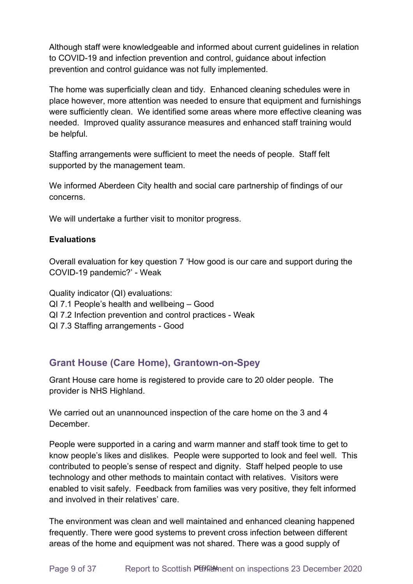Although staff were knowledgeable and informed about current guidelines in relation to COVID-19 and infection prevention and control, guidance about infection prevention and control guidance was not fully implemented.

The home was superficially clean and tidy. Enhanced cleaning schedules were in place however, more attention was needed to ensure that equipment and furnishings were sufficiently clean. We identified some areas where more effective cleaning was needed. Improved quality assurance measures and enhanced staff training would be helpful.

Staffing arrangements were sufficient to meet the needs of people. Staff felt supported by the management team.

We informed Aberdeen City health and social care partnership of findings of our concerns.

We will undertake a further visit to monitor progress.

### **Evaluations**

Overall evaluation for key question 7 'How good is our care and support during the COVID-19 pandemic?' - Weak

Quality indicator (QI) evaluations: QI 7.1 People's health and wellbeing – Good QI 7.2 Infection prevention and control practices - Weak QI 7.3 Staffing arrangements - Good

### **Grant House (Care Home), Grantown-on-Spey**

Grant House care home is registered to provide care to 20 older people. The provider is NHS Highland.

We carried out an unannounced inspection of the care home on the 3 and 4 December.

People were supported in a caring and warm manner and staff took time to get to know people's likes and dislikes. People were supported to look and feel well. This contributed to people's sense of respect and dignity. Staff helped people to use technology and other methods to maintain contact with relatives. Visitors were enabled to visit safely. Feedback from families was very positive, they felt informed and involved in their relatives' care.

The environment was clean and well maintained and enhanced cleaning happened frequently. There were good systems to prevent cross infection between different areas of the home and equipment was not shared. There was a good supply of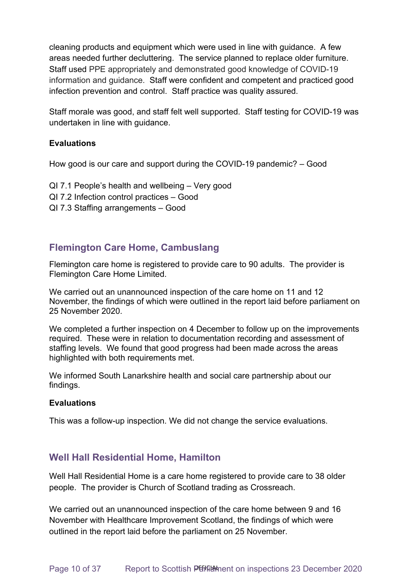cleaning products and equipment which were used in line with guidance. A few areas needed further decluttering. The service planned to replace older furniture. Staff used PPE appropriately and demonstrated good knowledge of COVID-19 information and guidance. Staff were confident and competent and practiced good infection prevention and control. Staff practice was quality assured.

Staff morale was good, and staff felt well supported. Staff testing for COVID-19 was undertaken in line with guidance.

#### **Evaluations**

How good is our care and support during the COVID-19 pandemic? – Good

- QI 7.1 People's health and wellbeing Very good
- QI 7.2 Infection control practices Good
- QI 7.3 Staffing arrangements Good

### **Flemington Care Home, Cambuslang**

Flemington care home is registered to provide care to 90 adults. The provider is Flemington Care Home Limited.

We carried out an unannounced inspection of the care home on 11 and 12 November, the findings of which were outlined in the report laid before parliament on 25 November 2020.

We completed a further inspection on 4 December to follow up on the improvements required. These were in relation to documentation recording and assessment of staffing levels. We found that good progress had been made across the areas highlighted with both requirements met.

We informed South Lanarkshire health and social care partnership about our findings.

#### **Evaluations**

This was a follow-up inspection. We did not change the service evaluations.

### **Well Hall Residential Home, Hamilton**

Well Hall Residential Home is a care home registered to provide care to 38 older people. The provider is Church of Scotland trading as Crossreach.

We carried out an unannounced inspection of the care home between 9 and 16 November with Healthcare Improvement Scotland, the findings of which were outlined in the report laid before the parliament on 25 November.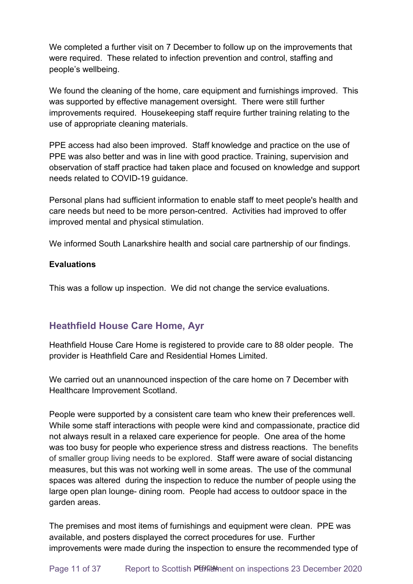We completed a further visit on 7 December to follow up on the improvements that were required. These related to infection prevention and control, staffing and people's wellbeing.

We found the cleaning of the home, care equipment and furnishings improved. This was supported by effective management oversight. There were still further improvements required. Housekeeping staff require further training relating to the use of appropriate cleaning materials.

PPE access had also been improved. Staff knowledge and practice on the use of PPE was also better and was in line with good practice. Training, supervision and observation of staff practice had taken place and focused on knowledge and support needs related to COVID-19 guidance.

Personal plans had sufficient information to enable staff to meet people's health and care needs but need to be more person-centred. Activities had improved to offer improved mental and physical stimulation.

We informed South Lanarkshire health and social care partnership of our findings.

### **Evaluations**

This was a follow up inspection. We did not change the service evaluations.

# **Heathfield House Care Home, Ayr**

Heathfield House Care Home is registered to provide care to 88 older people. The provider is Heathfield Care and Residential Homes Limited.

We carried out an unannounced inspection of the care home on 7 December with Healthcare Improvement Scotland.

People were supported by a consistent care team who knew their preferences well. While some staff interactions with people were kind and compassionate, practice did not always result in a relaxed care experience for people. One area of the home was too busy for people who experience stress and distress reactions. The benefits of smaller group living needs to be explored. Staff were aware of social distancing measures, but this was not working well in some areas. The use of the communal spaces was altered during the inspection to reduce the number of people using the large open plan lounge- dining room. People had access to outdoor space in the garden areas.

The premises and most items of furnishings and equipment were clean. PPE was available, and posters displayed the correct procedures for use. Further improvements were made during the inspection to ensure the recommended type of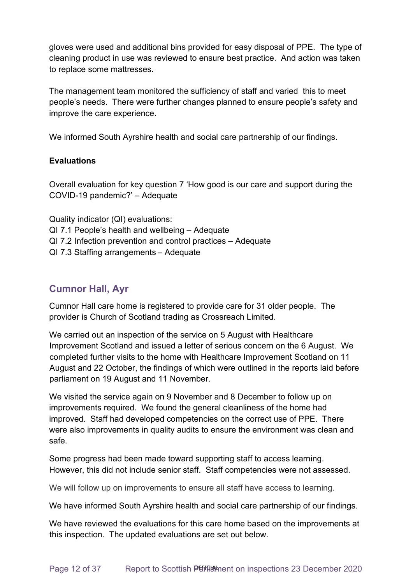gloves were used and additional bins provided for easy disposal of PPE. The type of cleaning product in use was reviewed to ensure best practice. And action was taken to replace some mattresses.

The management team monitored the sufficiency of staff and varied this to meet people's needs. There were further changes planned to ensure people's safety and improve the care experience.

We informed South Ayrshire health and social care partnership of our findings.

### **Evaluations**

Overall evaluation for key question 7 'How good is our care and support during the COVID-19 pandemic?' – Adequate

Quality indicator (QI) evaluations: QI 7.1 People's health and wellbeing – Adequate QI 7.2 Infection prevention and control practices – Adequate QI 7.3 Staffing arrangements – Adequate

# **Cumnor Hall, Ayr**

Cumnor Hall care home is registered to provide care for 31 older people. The provider is Church of Scotland trading as Crossreach Limited.

We carried out an inspection of the service on 5 August with Healthcare Improvement Scotland and issued a letter of serious concern on the 6 August. We completed further visits to the home with Healthcare Improvement Scotland on 11 August and 22 October, the findings of which were outlined in the reports laid before parliament on 19 August and 11 November.

We visited the service again on 9 November and 8 December to follow up on improvements required. We found the general cleanliness of the home had improved. Staff had developed competencies on the correct use of PPE. There were also improvements in quality audits to ensure the environment was clean and safe.

Some progress had been made toward supporting staff to access learning. However, this did not include senior staff. Staff competencies were not assessed.

We will follow up on improvements to ensure all staff have access to learning.

We have informed South Ayrshire health and social care partnership of our findings.

We have reviewed the evaluations for this care home based on the improvements at this inspection. The updated evaluations are set out below.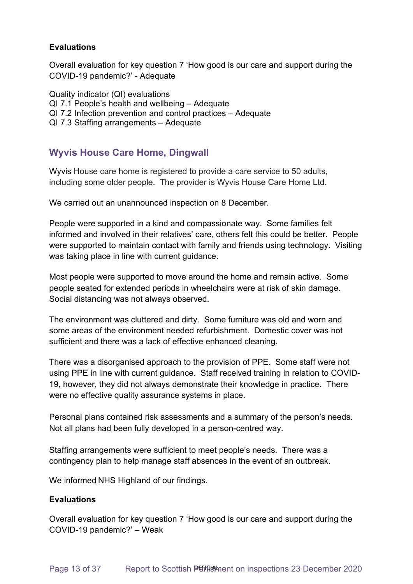### **Evaluations**

Overall evaluation for key question 7 'How good is our care and support during the COVID-19 pandemic?' - Adequate

Quality indicator (QI) evaluations QI 7.1 People's health and wellbeing – Adequate QI 7.2 Infection prevention and control practices – Adequate QI 7.3 Staffing arrangements – Adequate

# **Wyvis House Care Home, Dingwall**

Wyvis House care home is registered to provide a care service to 50 adults, including some older people. The provider is Wyvis House Care Home Ltd.

We carried out an unannounced inspection on 8 December.

People were supported in a kind and compassionate way. Some families felt informed and involved in their relatives' care, others felt this could be better. People were supported to maintain contact with family and friends using technology. Visiting was taking place in line with current guidance.

Most people were supported to move around the home and remain active. Some people seated for extended periods in wheelchairs were at risk of skin damage. Social distancing was not always observed.

The environment was cluttered and dirty. Some furniture was old and worn and some areas of the environment needed refurbishment. Domestic cover was not sufficient and there was a lack of effective enhanced cleaning.

There was a disorganised approach to the provision of PPE. Some staff were not using PPE in line with current guidance. Staff received training in relation to COVID-19, however, they did not always demonstrate their knowledge in practice. There were no effective quality assurance systems in place.

Personal plans contained risk assessments and a summary of the person's needs. Not all plans had been fully developed in a person-centred way.

Staffing arrangements were sufficient to meet people's needs. There was a contingency plan to help manage staff absences in the event of an outbreak.

We informed NHS Highland of our findings.

### **Evaluations**

Overall evaluation for key question 7 'How good is our care and support during the COVID-19 pandemic?' – Weak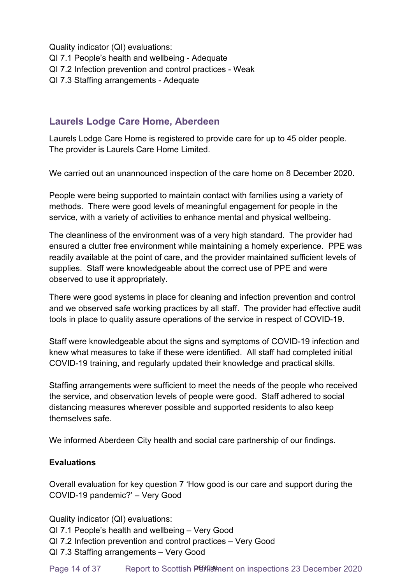Quality indicator (QI) evaluations:

- QI 7.1 People's health and wellbeing Adequate
- QI 7.2 Infection prevention and control practices Weak
- QI 7.3 Staffing arrangements Adequate

### **Laurels Lodge Care Home, Aberdeen**

Laurels Lodge Care Home is registered to provide care for up to 45 older people. The provider is Laurels Care Home Limited.

We carried out an unannounced inspection of the care home on 8 December 2020.

People were being supported to maintain contact with families using a variety of methods. There were good levels of meaningful engagement for people in the service, with a variety of activities to enhance mental and physical wellbeing.

The cleanliness of the environment was of a very high standard. The provider had ensured a clutter free environment while maintaining a homely experience. PPE was readily available at the point of care, and the provider maintained sufficient levels of supplies. Staff were knowledgeable about the correct use of PPE and were observed to use it appropriately.

There were good systems in place for cleaning and infection prevention and control and we observed safe working practices by all staff. The provider had effective audit tools in place to quality assure operations of the service in respect of COVID-19.

Staff were knowledgeable about the signs and symptoms of COVID-19 infection and knew what measures to take if these were identified. All staff had completed initial COVID-19 training, and regularly updated their knowledge and practical skills.

Staffing arrangements were sufficient to meet the needs of the people who received the service, and observation levels of people were good. Staff adhered to social distancing measures wherever possible and supported residents to also keep themselves safe.

We informed Aberdeen City health and social care partnership of our findings.

### **Evaluations**

Overall evaluation for key question 7 'How good is our care and support during the COVID-19 pandemic?' – Very Good

Quality indicator (QI) evaluations:

QI 7.1 People's health and wellbeing – Very Good

- QI 7.2 Infection prevention and control practices Very Good
- QI 7.3 Staffing arrangements Very Good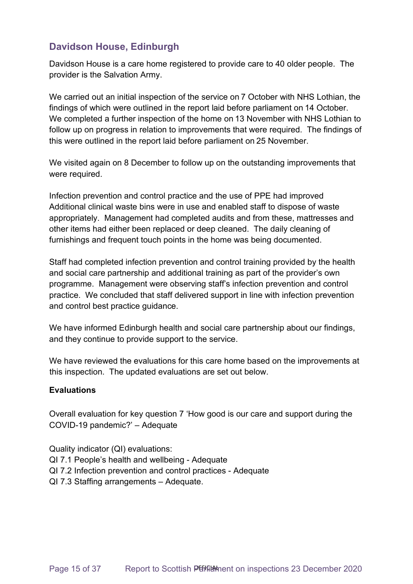## **Davidson House, Edinburgh**

Davidson House is a care home registered to provide care to 40 older people. The provider is the Salvation Army.

We carried out an initial inspection of the service on 7 October with NHS Lothian, the findings of which were outlined in the report laid before parliament on 14 October. We completed a further inspection of the home on 13 November with NHS Lothian to follow up on progress in relation to improvements that were required. The findings of this were outlined in the report laid before parliament on 25 November.

We visited again on 8 December to follow up on the outstanding improvements that were required.

Infection prevention and control practice and the use of PPE had improved Additional clinical waste bins were in use and enabled staff to dispose of waste appropriately. Management had completed audits and from these, mattresses and other items had either been replaced or deep cleaned. The daily cleaning of furnishings and frequent touch points in the home was being documented.

Staff had completed infection prevention and control training provided by the health and social care partnership and additional training as part of the provider's own programme. Management were observing staff's infection prevention and control practice. We concluded that staff delivered support in line with infection prevention and control best practice guidance.

We have informed Edinburgh health and social care partnership about our findings, and they continue to provide support to the service.

We have reviewed the evaluations for this care home based on the improvements at this inspection. The updated evaluations are set out below.

### **Evaluations**

Overall evaluation for key question 7 'How good is our care and support during the COVID-19 pandemic?' – Adequate

Quality indicator (QI) evaluations: QI 7.1 People's health and wellbeing - Adequate QI 7.2 Infection prevention and control practices - Adequate QI 7.3 Staffing arrangements – Adequate.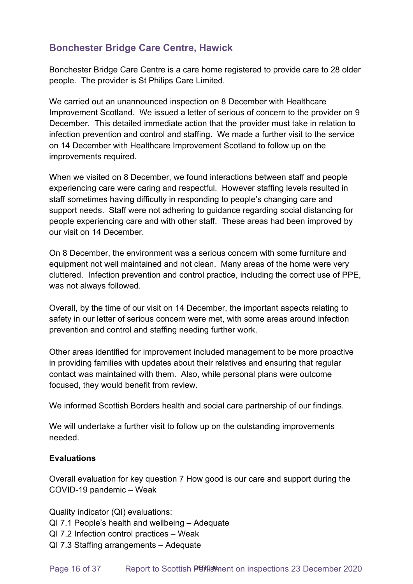# **Bonchester Bridge Care Centre, Hawick**

Bonchester Bridge Care Centre is a care home registered to provide care to 28 older people. The provider is St Philips Care Limited.

We carried out an unannounced inspection on 8 December with Healthcare Improvement Scotland. We issued a letter of serious of concern to the provider on 9 December. This detailed immediate action that the provider must take in relation to infection prevention and control and staffing. We made a further visit to the service on 14 December with Healthcare Improvement Scotland to follow up on the improvements required.

When we visited on 8 December, we found interactions between staff and people experiencing care were caring and respectful. However staffing levels resulted in staff sometimes having difficulty in responding to people's changing care and support needs. Staff were not adhering to guidance regarding social distancing for people experiencing care and with other staff. These areas had been improved by our visit on 14 December.

On 8 December, the environment was a serious concern with some furniture and equipment not well maintained and not clean. Many areas of the home were very cluttered. Infection prevention and control practice, including the correct use of PPE, was not always followed.

Overall, by the time of our visit on 14 December, the important aspects relating to safety in our letter of serious concern were met, with some areas around infection prevention and control and staffing needing further work.

Other areas identified for improvement included management to be more proactive in providing families with updates about their relatives and ensuring that regular contact was maintained with them. Also, while personal plans were outcome focused, they would benefit from review.

We informed Scottish Borders health and social care partnership of our findings.

We will undertake a further visit to follow up on the outstanding improvements needed.

### **Evaluations**

Overall evaluation for key question 7 How good is our care and support during the COVID-19 pandemic – Weak

Quality indicator (QI) evaluations: QI 7.1 People's health and wellbeing – Adequate QI 7.2 Infection control practices – Weak QI 7.3 Staffing arrangements – Adequate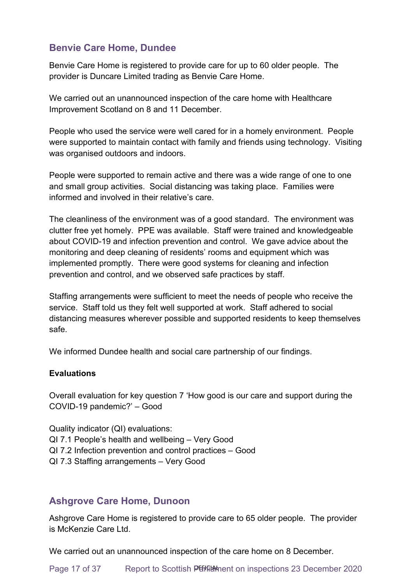# **Benvie Care Home, Dundee**

Benvie Care Home is registered to provide care for up to 60 older people. The provider is Duncare Limited trading as Benvie Care Home.

We carried out an unannounced inspection of the care home with Healthcare Improvement Scotland on 8 and 11 December.

People who used the service were well cared for in a homely environment. People were supported to maintain contact with family and friends using technology. Visiting was organised outdoors and indoors.

People were supported to remain active and there was a wide range of one to one and small group activities. Social distancing was taking place. Families were informed and involved in their relative's care.

The cleanliness of the environment was of a good standard. The environment was clutter free yet homely. PPE was available. Staff were trained and knowledgeable about COVID-19 and infection prevention and control. We gave advice about the monitoring and deep cleaning of residents' rooms and equipment which was implemented promptly. There were good systems for cleaning and infection prevention and control, and we observed safe practices by staff.

Staffing arrangements were sufficient to meet the needs of people who receive the service. Staff told us they felt well supported at work. Staff adhered to social distancing measures wherever possible and supported residents to keep themselves safe.

We informed Dundee health and social care partnership of our findings.

### **Evaluations**

Overall evaluation for key question 7 'How good is our care and support during the COVID-19 pandemic?' – Good

Quality indicator (QI) evaluations: QI 7.1 People's health and wellbeing – Very Good QI 7.2 Infection prevention and control practices – Good QI 7.3 Staffing arrangements – Very Good

### **Ashgrove Care Home, Dunoon**

Ashgrove Care Home is registered to provide care to 65 older people. The provider is McKenzie Care Ltd.

We carried out an unannounced inspection of the care home on 8 December.

Page 17 of 37 Report to Scottish Perifications on inspections 23 December 2020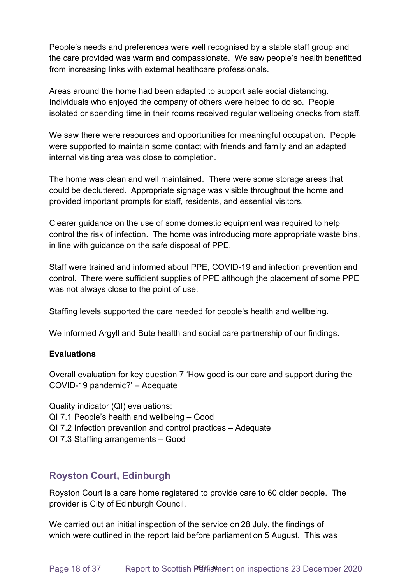People's needs and preferences were well recognised by a stable staff group and the care provided was warm and compassionate. We saw people's health benefitted from increasing links with external healthcare professionals.

Areas around the home had been adapted to support safe social distancing. Individuals who enjoyed the company of others were helped to do so. People isolated or spending time in their rooms received regular wellbeing checks from staff.

We saw there were resources and opportunities for meaningful occupation. People were supported to maintain some contact with friends and family and an adapted internal visiting area was close to completion.

The home was clean and well maintained. There were some storage areas that could be decluttered. Appropriate signage was visible throughout the home and provided important prompts for staff, residents, and essential visitors.

Clearer guidance on the use of some domestic equipment was required to help control the risk of infection. The home was introducing more appropriate waste bins, in line with guidance on the safe disposal of PPE.

Staff were trained and informed about PPE, COVID-19 and infection prevention and control. There were sufficient supplies of PPE although the placement of some PPE was not always close to the point of use.

Staffing levels supported the care needed for people's health and wellbeing.

We informed Argyll and Bute health and social care partnership of our findings.

#### **Evaluations**

Overall evaluation for key question 7 'How good is our care and support during the COVID-19 pandemic?' – Adequate

Quality indicator (QI) evaluations: QI 7.1 People's health and wellbeing – Good QI 7.2 Infection prevention and control practices – Adequate QI 7.3 Staffing arrangements – Good

### **Royston Court, Edinburgh**

Royston Court is a care home registered to provide care to 60 older people. The provider is City of Edinburgh Council.

We carried out an initial inspection of the service on 28 July, the findings of which were outlined in the report laid before parliament on 5 August. This was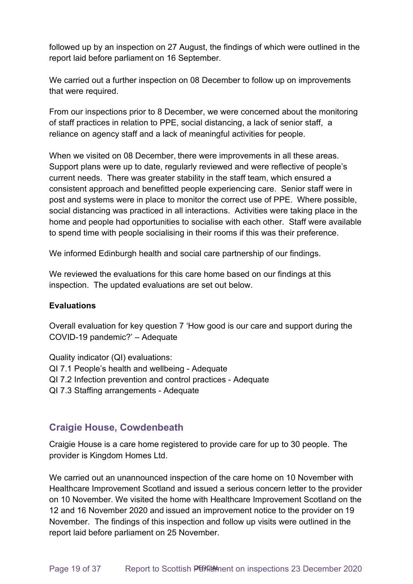followed up by an inspection on 27 August, the findings of which were outlined in the report laid before parliament on 16 September.

We carried out a further inspection on 08 December to follow up on improvements that were required.

From our inspections prior to 8 December, we were concerned about the monitoring of staff practices in relation to PPE, social distancing, a lack of senior staff, a reliance on agency staff and a lack of meaningful activities for people.

When we visited on 08 December, there were improvements in all these areas. Support plans were up to date, regularly reviewed and were reflective of people's current needs. There was greater stability in the staff team, which ensured a consistent approach and benefitted people experiencing care. Senior staff were in post and systems were in place to monitor the correct use of PPE. Where possible, social distancing was practiced in all interactions. Activities were taking place in the home and people had opportunities to socialise with each other. Staff were available to spend time with people socialising in their rooms if this was their preference.

We informed Edinburgh health and social care partnership of our findings.

We reviewed the evaluations for this care home based on our findings at this inspection. The updated evaluations are set out below.

### **Evaluations**

Overall evaluation for key question 7 'How good is our care and support during the COVID-19 pandemic?' – Adequate

Quality indicator (QI) evaluations: QI 7.1 People's health and wellbeing - Adequate QI 7.2 Infection prevention and control practices - Adequate QI 7.3 Staffing arrangements - Adequate

### **Craigie House, Cowdenbeath**

Craigie House is a care home registered to provide care for up to 30 people. The provider is Kingdom Homes Ltd.

We carried out an unannounced inspection of the care home on 10 November with Healthcare Improvement Scotland and issued a serious concern letter to the provider on 10 November. We visited the home with Healthcare Improvement Scotland on the 12 and 16 November 2020 and issued an improvement notice to the provider on 19 November. The findings of this inspection and follow up visits were outlined in the report laid before parliament on 25 November.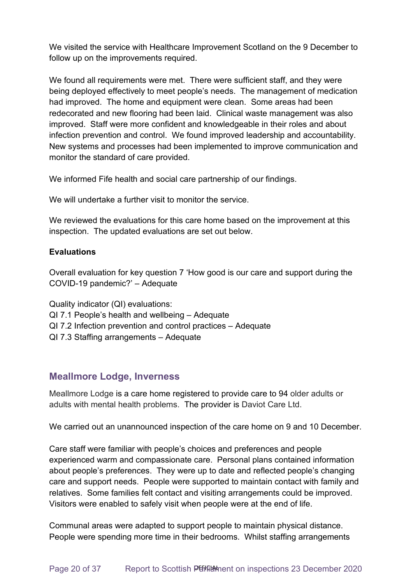We visited the service with Healthcare Improvement Scotland on the 9 December to follow up on the improvements required.

We found all requirements were met. There were sufficient staff, and they were being deployed effectively to meet people's needs. The management of medication had improved. The home and equipment were clean. Some areas had been redecorated and new flooring had been laid. Clinical waste management was also improved. Staff were more confident and knowledgeable in their roles and about infection prevention and control. We found improved leadership and accountability. New systems and processes had been implemented to improve communication and monitor the standard of care provided.

We informed Fife health and social care partnership of our findings.

We will undertake a further visit to monitor the service.

We reviewed the evaluations for this care home based on the improvement at this inspection. The updated evaluations are set out below.

### **Evaluations**

Overall evaluation for key question 7 'How good is our care and support during the COVID-19 pandemic?' – Adequate

Quality indicator (QI) evaluations:

- QI 7.1 People's health and wellbeing Adequate
- QI 7.2 Infection prevention and control practices Adequate
- QI 7.3 Staffing arrangements Adequate

### **Meallmore Lodge, Inverness**

Meallmore Lodge is a care home registered to provide care to 94 older adults or adults with mental health problems. The provider is Daviot Care Ltd.

We carried out an unannounced inspection of the care home on 9 and 10 December.

Care staff were familiar with people's choices and preferences and people experienced warm and compassionate care. Personal plans contained information about people's preferences. They were up to date and reflected people's changing care and support needs. People were supported to maintain contact with family and relatives. Some families felt contact and visiting arrangements could be improved. Visitors were enabled to safely visit when people were at the end of life.

Communal areas were adapted to support people to maintain physical distance. People were spending more time in their bedrooms. Whilst staffing arrangements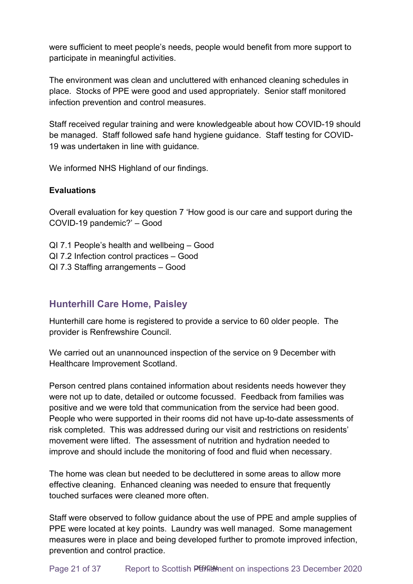were sufficient to meet people's needs, people would benefit from more support to participate in meaningful activities.

The environment was clean and uncluttered with enhanced cleaning schedules in place. Stocks of PPE were good and used appropriately. Senior staff monitored infection prevention and control measures.

Staff received regular training and were knowledgeable about how COVID-19 should be managed. Staff followed safe hand hygiene guidance. Staff testing for COVID-19 was undertaken in line with guidance.

We informed NHS Highland of our findings.

### **Evaluations**

Overall evaluation for key question 7 'How good is our care and support during the COVID-19 pandemic?' – Good

QI 7.1 People's health and wellbeing – Good

- QI 7.2 Infection control practices Good
- QI 7.3 Staffing arrangements Good

### **Hunterhill Care Home, Paisley**

Hunterhill care home is registered to provide a service to 60 older people. The provider is Renfrewshire Council.

We carried out an unannounced inspection of the service on 9 December with Healthcare Improvement Scotland.

Person centred plans contained information about residents needs however they were not up to date, detailed or outcome focussed. Feedback from families was positive and we were told that communication from the service had been good. People who were supported in their rooms did not have up-to-date assessments of risk completed. This was addressed during our visit and restrictions on residents' movement were lifted. The assessment of nutrition and hydration needed to improve and should include the monitoring of food and fluid when necessary.

The home was clean but needed to be decluttered in some areas to allow more effective cleaning. Enhanced cleaning was needed to ensure that frequently touched surfaces were cleaned more often.

Staff were observed to follow guidance about the use of PPE and ample supplies of PPE were located at key points. Laundry was well managed. Some management measures were in place and being developed further to promote improved infection, prevention and control practice.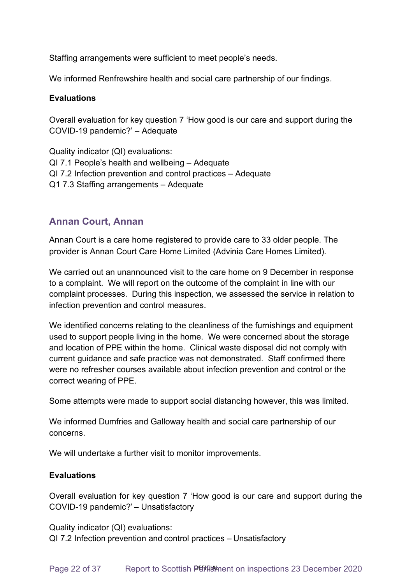Staffing arrangements were sufficient to meet people's needs.

We informed Renfrewshire health and social care partnership of our findings.

#### **Evaluations**

Overall evaluation for key question 7 'How good is our care and support during the COVID-19 pandemic?' – Adequate

Quality indicator (QI) evaluations: QI 7.1 People's health and wellbeing – Adequate QI 7.2 Infection prevention and control practices – Adequate Q1 7.3 Staffing arrangements – Adequate

### **Annan Court, Annan**

Annan Court is a care home registered to provide care to 33 older people. The provider is Annan Court Care Home Limited (Advinia Care Homes Limited).

We carried out an unannounced visit to the care home on 9 December in response to a complaint. We will report on the outcome of the complaint in line with our complaint processes. During this inspection, we assessed the service in relation to infection prevention and control measures.

We identified concerns relating to the cleanliness of the furnishings and equipment used to support people living in the home. We were concerned about the storage and location of PPE within the home. Clinical waste disposal did not comply with current guidance and safe practice was not demonstrated. Staff confirmed there were no refresher courses available about infection prevention and control or the correct wearing of PPE.

Some attempts were made to support social distancing however, this was limited.

We informed Dumfries and Galloway health and social care partnership of our concerns.

We will undertake a further visit to monitor improvements.

### **Evaluations**

Overall evaluation for key question 7 'How good is our care and support during the COVID-19 pandemic?' – Unsatisfactory 

Quality indicator (QI) evaluations:

QI 7.2 Infection prevention and control practices – Unsatisfactory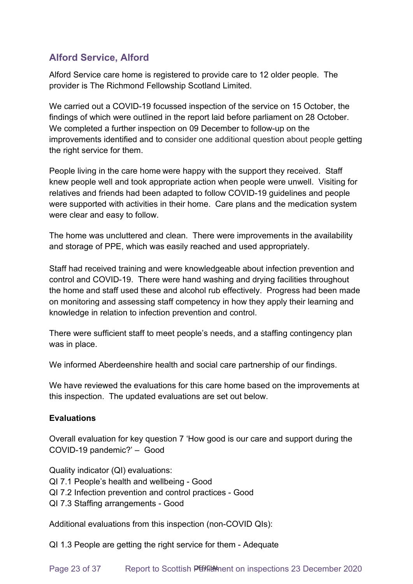# **Alford Service, Alford**

Alford Service care home is registered to provide care to 12 older people. The provider is The Richmond Fellowship Scotland Limited.

We carried out a COVID-19 focussed inspection of the service on 15 October, the findings of which were outlined in the report laid before parliament on 28 October. We completed a further inspection on 09 December to follow-up on the improvements identified and to consider one additional question about people getting the right service for them.

People living in the care home were happy with the support they received. Staff knew people well and took appropriate action when people were unwell. Visiting for relatives and friends had been adapted to follow COVID-19 guidelines and people were supported with activities in their home. Care plans and the medication system were clear and easy to follow.

The home was uncluttered and clean. There were improvements in the availability and storage of PPE, which was easily reached and used appropriately.

Staff had received training and were knowledgeable about infection prevention and control and COVID-19. There were hand washing and drying facilities throughout the home and staff used these and alcohol rub effectively. Progress had been made on monitoring and assessing staff competency in how they apply their learning and knowledge in relation to infection prevention and control.

There were sufficient staff to meet people's needs, and a staffing contingency plan was in place.

We informed Aberdeenshire health and social care partnership of our findings.

We have reviewed the evaluations for this care home based on the improvements at this inspection. The updated evaluations are set out below.

### **Evaluations**

Overall evaluation for key question 7 'How good is our care and support during the COVID-19 pandemic?' – Good

Quality indicator (QI) evaluations: QI 7.1 People's health and wellbeing - Good QI 7.2 Infection prevention and control practices - Good QI 7.3 Staffing arrangements - Good

Additional evaluations from this inspection (non-COVID QIs):

QI 1.3 People are getting the right service for them - Adequate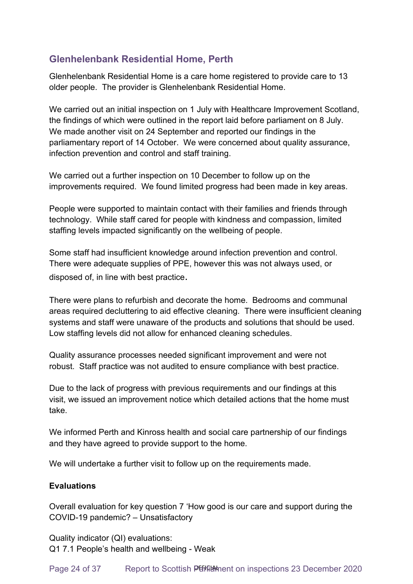# **Glenhelenbank Residential Home, Perth**

Glenhelenbank Residential Home is a care home registered to provide care to 13 older people. The provider is Glenhelenbank Residential Home.

We carried out an initial inspection on 1 July with Healthcare Improvement Scotland, the findings of which were outlined in the report laid before parliament on 8 July. We made another visit on 24 September and reported our findings in the parliamentary report of 14 October. We were concerned about quality assurance, infection prevention and control and staff training.

We carried out a further inspection on 10 December to follow up on the improvements required. We found limited progress had been made in key areas.

People were supported to maintain contact with their families and friends through technology. While staff cared for people with kindness and compassion, limited staffing levels impacted significantly on the wellbeing of people.

Some staff had insufficient knowledge around infection prevention and control. There were adequate supplies of PPE, however this was not always used, or disposed of, in line with best practice.

There were plans to refurbish and decorate the home. Bedrooms and communal areas required decluttering to aid effective cleaning. There were insufficient cleaning systems and staff were unaware of the products and solutions that should be used. Low staffing levels did not allow for enhanced cleaning schedules.

Quality assurance processes needed significant improvement and were not robust. Staff practice was not audited to ensure compliance with best practice.

Due to the lack of progress with previous requirements and our findings at this visit, we issued an improvement notice which detailed actions that the home must take.

We informed Perth and Kinross health and social care partnership of our findings and they have agreed to provide support to the home.

We will undertake a further visit to follow up on the requirements made.

### **Evaluations**

Overall evaluation for key question 7 'How good is our care and support during the COVID-19 pandemic? – Unsatisfactory

Quality indicator (QI) evaluations: Q1 7.1 People's health and wellbeing - Weak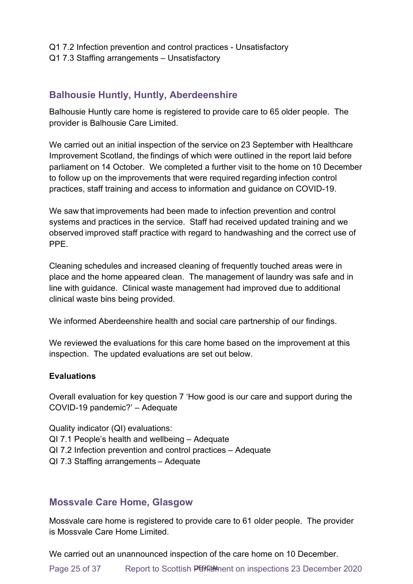- Q1 7.2 Infection prevention and control practices Unsatisfactory
- Q1 7.3 Staffing arrangements Unsatisfactory

### **Balhousie Huntly, Huntly, Aberdeenshire**

Balhousie Huntly care home is registered to provide care to 65 older people. The provider is Balhousie Care Limited.

We carried out an initial inspection of the service on 23 September with Healthcare Improvement Scotland, the findings of which were outlined in the report laid before parliament on 14 October. We completed a further visit to the home on 10 December to follow up on the improvements that were required regarding infection control practices, staff training and access to information and guidance on COVID-19.

We saw that improvements had been made to infection prevention and control systems and practices in the service. Staff had received updated training and we observed improved staff practice with regard to handwashing and the correct use of PPE.

Cleaning schedules and increased cleaning of frequently touched areas were in place and the home appeared clean. The management of laundry was safe and in line with guidance. Clinical waste management had improved due to additional clinical waste bins being provided.

We informed Aberdeenshire health and social care partnership of our findings.

We reviewed the evaluations for this care home based on the improvement at this inspection. The updated evaluations are set out below.

### **Evaluations**

Overall evaluation for key question 7 'How good is our care and support during the COVID-19 pandemic?' – Adequate

Quality indicator (QI) evaluations:

- QI 7.1 People's health and wellbeing Adequate
- QI 7.2 Infection prevention and control practices Adequate
- QI 7.3 Staffing arrangements – Adequate

### **Mossvale Care Home, Glasgow**

Mossvale care home is registered to provide care to 61 older people. The provider is Mossvale Care Home Limited.

We carried out an unannounced inspection of the care home on 10 December.

Page 25 of 37 Report to Scottish Perture on inspections 23 December 2020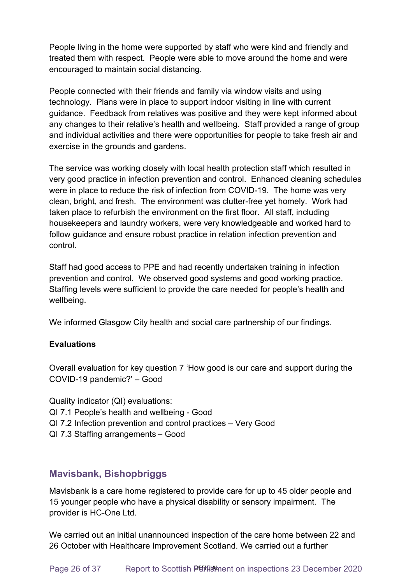People living in the home were supported by staff who were kind and friendly and treated them with respect. People were able to move around the home and were encouraged to maintain social distancing.

People connected with their friends and family via window visits and using technology. Plans were in place to support indoor visiting in line with current guidance. Feedback from relatives was positive and they were kept informed about any changes to their relative's health and wellbeing. Staff provided a range of group and individual activities and there were opportunities for people to take fresh air and exercise in the grounds and gardens.

The service was working closely with local health protection staff which resulted in very good practice in infection prevention and control. Enhanced cleaning schedules were in place to reduce the risk of infection from COVID-19. The home was very clean, bright, and fresh. The environment was clutter-free yet homely. Work had taken place to refurbish the environment on the first floor. All staff, including housekeepers and laundry workers, were very knowledgeable and worked hard to follow guidance and ensure robust practice in relation infection prevention and control.

Staff had good access to PPE and had recently undertaken training in infection prevention and control. We observed good systems and good working practice. Staffing levels were sufficient to provide the care needed for people's health and wellbeing.

We informed Glasgow City health and social care partnership of our findings.

### **Evaluations**

Overall evaluation for key question 7 'How good is our care and support during the COVID-19 pandemic?' – Good

Quality indicator (QI) evaluations: QI 7.1 People's health and wellbeing - Good QI 7.2 Infection prevention and control practices – Very Good QI 7.3 Staffing arrangements – Good

### **Mavisbank, Bishopbriggs**

Mavisbank is a care home registered to provide care for up to 45 older people and 15 younger people who have a physical disability or sensory impairment. The provider is HC-One Ltd.

We carried out an initial unannounced inspection of the care home between 22 and 26 October with Healthcare Improvement Scotland. We carried out a further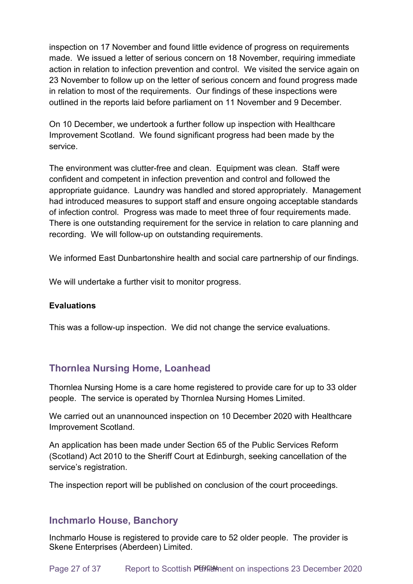inspection on 17 November and found little evidence of progress on requirements made. We issued a letter of serious concern on 18 November, requiring immediate action in relation to infection prevention and control. We visited the service again on 23 November to follow up on the letter of serious concern and found progress made in relation to most of the requirements. Our findings of these inspections were outlined in the reports laid before parliament on 11 November and 9 December.

On 10 December, we undertook a further follow up inspection with Healthcare Improvement Scotland. We found significant progress had been made by the service.

The environment was clutter-free and clean. Equipment was clean. Staff were confident and competent in infection prevention and control and followed the appropriate guidance. Laundry was handled and stored appropriately. Management had introduced measures to support staff and ensure ongoing acceptable standards of infection control. Progress was made to meet three of four requirements made. There is one outstanding requirement for the service in relation to care planning and recording. We will follow-up on outstanding requirements.

We informed East Dunbartonshire health and social care partnership of our findings.

We will undertake a further visit to monitor progress.

#### **Evaluations**

This was a follow-up inspection. We did not change the service evaluations.

### **Thornlea Nursing Home, Loanhead**

Thornlea Nursing Home is a care home registered to provide care for up to 33 older people. The service is operated by Thornlea Nursing Homes Limited.

We carried out an unannounced inspection on 10 December 2020 with Healthcare Improvement Scotland.

An application has been made under Section 65 of the Public Services Reform (Scotland) Act 2010 to the Sheriff Court at Edinburgh, seeking cancellation of the service's registration.

The inspection report will be published on conclusion of the court proceedings.

### **Inchmarlo House, Banchory**

Inchmarlo House is registered to provide care to 52 older people. The provider is Skene Enterprises (Aberdeen) Limited.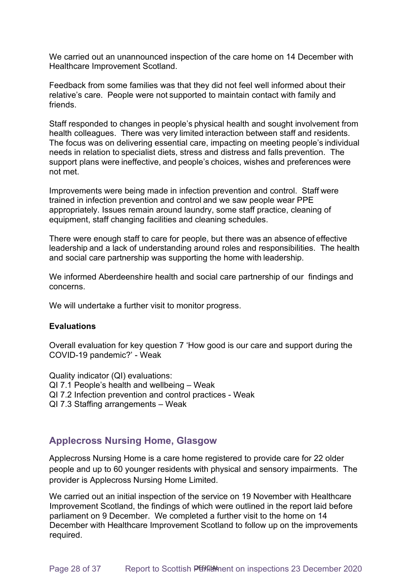We carried out an unannounced inspection of the care home on 14 December with Healthcare Improvement Scotland.

Feedback from some families was that they did not feel well informed about their relative's care. People were not supported to maintain contact with family and friends.

Staff responded to changes in people's physical health and sought involvement from health colleagues. There was very limited interaction between staff and residents. The focus was on delivering essential care, impacting on meeting people's individual needs in relation to specialist diets, stress and distress and falls prevention. The support plans were ineffective, and people's choices, wishes and preferences were not met.

Improvements were being made in infection prevention and control. Staff were trained in infection prevention and control and we saw people wear PPE appropriately. Issues remain around laundry, some staff practice, cleaning of equipment, staff changing facilities and cleaning schedules.

There were enough staff to care for people, but there was an absence of effective leadership and a lack of understanding around roles and responsibilities. The health and social care partnership was supporting the home with leadership.

We informed Aberdeenshire health and social care partnership of our findings and concerns.

We will undertake a further visit to monitor progress.

#### **Evaluations**

Overall evaluation for key question 7 'How good is our care and support during the COVID-19 pandemic?' - Weak

Quality indicator (QI) evaluations: QI 7.1 People's health and wellbeing – Weak QI 7.2 Infection prevention and control practices - Weak QI 7.3 Staffing arrangements – Weak

### **Applecross Nursing Home, Glasgow**

Applecross Nursing Home is a care home registered to provide care for 22 older people and up to 60 younger residents with physical and sensory impairments. The provider is Applecross Nursing Home Limited.

We carried out an initial inspection of the service on 19 November with Healthcare Improvement Scotland, the findings of which were outlined in the report laid before parliament on 9 December. We completed a further visit to the home on 14 December with Healthcare Improvement Scotland to follow up on the improvements required.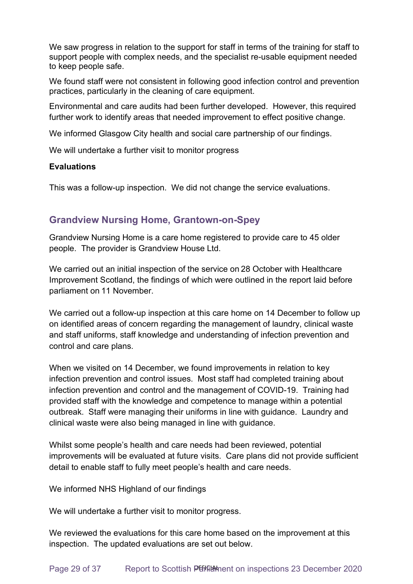We saw progress in relation to the support for staff in terms of the training for staff to support people with complex needs, and the specialist re-usable equipment needed to keep people safe.

We found staff were not consistent in following good infection control and prevention practices, particularly in the cleaning of care equipment.

Environmental and care audits had been further developed. However, this required further work to identify areas that needed improvement to effect positive change.

We informed Glasgow City health and social care partnership of our findings.

We will undertake a further visit to monitor progress

#### **Evaluations**

This was a follow-up inspection. We did not change the service evaluations.

### **Grandview Nursing Home, Grantown-on-Spey**

Grandview Nursing Home is a care home registered to provide care to 45 older people. The provider is Grandview House Ltd. 

We carried out an initial inspection of the service on 28 October with Healthcare Improvement Scotland, the findings of which were outlined in the report laid before parliament on 11 November. 

We carried out a follow-up inspection at this care home on 14 December to follow up on identified areas of concern regarding the management of laundry, clinical waste and staff uniforms, staff knowledge and understanding of infection prevention and control and care plans.

When we visited on 14 December, we found improvements in relation to key infection prevention and control issues. Most staff had completed training about infection prevention and control and the management of COVID-19. Training had provided staff with the knowledge and competence to manage within a potential outbreak. Staff were managing their uniforms in line with guidance. Laundry and clinical waste were also being managed in line with guidance.

Whilst some people's health and care needs had been reviewed, potential improvements will be evaluated at future visits. Care plans did not provide sufficient detail to enable staff to fully meet people's health and care needs.

We informed NHS Highland of our findings 

We will undertake a further visit to monitor progress.

We reviewed the evaluations for this care home based on the improvement at this inspection. The updated evaluations are set out below.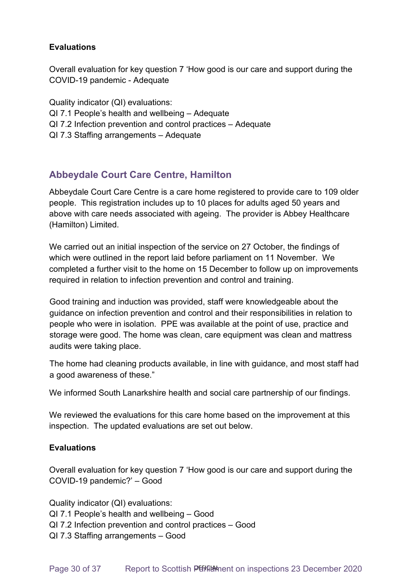### **Evaluations**

Overall evaluation for key question 7 'How good is our care and support during the COVID-19 pandemic - Adequate

Quality indicator (QI) evaluations: QI 7.1 People's health and wellbeing – Adequate QI 7.2 Infection prevention and control practices – Adequate QI 7.3 Staffing arrangements – Adequate

# **Abbeydale Court Care Centre, Hamilton**

Abbeydale Court Care Centre is a care home registered to provide care to 109 older people. This registration includes up to 10 places for adults aged 50 years and above with care needs associated with ageing. The provider is Abbey Healthcare (Hamilton) Limited.

We carried out an initial inspection of the service on 27 October, the findings of which were outlined in the report laid before parliament on 11 November. We completed a further visit to the home on 15 December to follow up on improvements required in relation to infection prevention and control and training.

Good training and induction was provided, staff were knowledgeable about the guidance on infection prevention and control and their responsibilities in relation to people who were in isolation. PPE was available at the point of use, practice and storage were good. The home was clean, care equipment was clean and mattress audits were taking place.

The home had cleaning products available, in line with guidance, and most staff had a good awareness of these."

We informed South Lanarkshire health and social care partnership of our findings.

We reviewed the evaluations for this care home based on the improvement at this inspection. The updated evaluations are set out below.

### **Evaluations**

Overall evaluation for key question 7 'How good is our care and support during the COVID-19 pandemic?' – Good

Quality indicator (QI) evaluations: QI 7.1 People's health and wellbeing – Good QI 7.2 Infection prevention and control practices – Good QI 7.3 Staffing arrangements – Good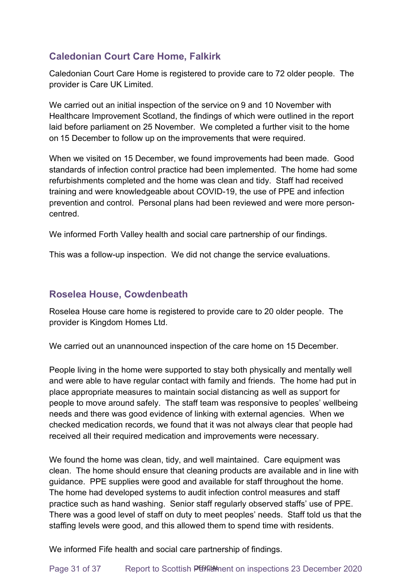# **Caledonian Court Care Home, Falkirk**

Caledonian Court Care Home is registered to provide care to 72 older people. The provider is Care UK Limited.

We carried out an initial inspection of the service on 9 and 10 November with Healthcare Improvement Scotland, the findings of which were outlined in the report laid before parliament on 25 November. We completed a further visit to the home on 15 December to follow up on the improvements that were required.

When we visited on 15 December, we found improvements had been made. Good standards of infection control practice had been implemented. The home had some refurbishments completed and the home was clean and tidy. Staff had received training and were knowledgeable about COVID-19, the use of PPE and infection prevention and control. Personal plans had been reviewed and were more personcentred.

We informed Forth Valley health and social care partnership of our findings.

This was a follow-up inspection. We did not change the service evaluations.

### **Roselea House, Cowdenbeath**

Roselea House care home is registered to provide care to 20 older people. The provider is Kingdom Homes Ltd.

We carried out an unannounced inspection of the care home on 15 December.

People living in the home were supported to stay both physically and mentally well and were able to have regular contact with family and friends. The home had put in place appropriate measures to maintain social distancing as well as support for people to move around safely. The staff team was responsive to peoples' wellbeing needs and there was good evidence of linking with external agencies. When we checked medication records, we found that it was not always clear that people had received all their required medication and improvements were necessary.

We found the home was clean, tidy, and well maintained. Care equipment was clean. The home should ensure that cleaning products are available and in line with guidance. PPE supplies were good and available for staff throughout the home. The home had developed systems to audit infection control measures and staff practice such as hand washing. Senior staff regularly observed staffs' use of PPE. There was a good level of staff on duty to meet peoples' needs. Staff told us that the staffing levels were good, and this allowed them to spend time with residents.

We informed Fife health and social care partnership of findings.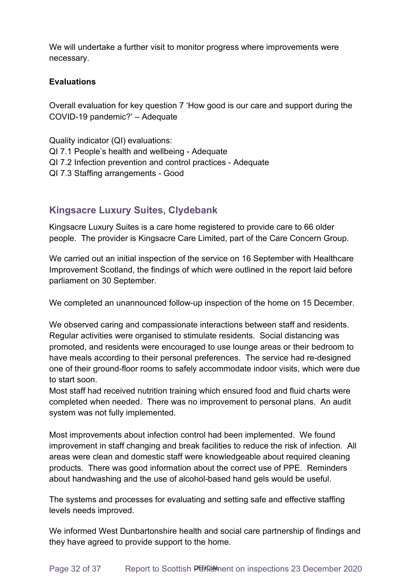We will undertake a further visit to monitor progress where improvements were necessary.

#### **Evaluations**

Overall evaluation for key question 7 'How good is our care and support during the COVID-19 pandemic?' – Adequate

Quality indicator (QI) evaluations: QI 7.1 People's health and wellbeing - Adequate QI 7.2 Infection prevention and control practices - Adequate QI 7.3 Staffing arrangements - Good

### **Kingsacre Luxury Suites, Clydebank**

Kingsacre Luxury Suites is a care home registered to provide care to 66 older people. The provider is Kingsacre Care Limited, part of the Care Concern Group.

We carried out an initial inspection of the service on 16 September with Healthcare Improvement Scotland, the findings of which were outlined in the report laid before parliament on 30 September.

We completed an unannounced follow-up inspection of the home on 15 December.

We observed caring and compassionate interactions between staff and residents. Regular activities were organised to stimulate residents. Social distancing was promoted, and residents were encouraged to use lounge areas or their bedroom to have meals according to their personal preferences. The service had re-designed one of their ground-floor rooms to safely accommodate indoor visits, which were due to start soon.

Most staff had received nutrition training which ensured food and fluid charts were completed when needed. There was no improvement to personal plans. An audit system was not fully implemented.

Most improvements about infection control had been implemented. We found improvement in staff changing and break facilities to reduce the risk of infection. All areas were clean and domestic staff were knowledgeable about required cleaning products. There was good information about the correct use of PPE. Reminders about handwashing and the use of alcohol-based hand gels would be useful.

The systems and processes for evaluating and setting safe and effective staffing levels needs improved.

We informed West Dunbartonshire health and social care partnership of findings and they have agreed to provide support to the home.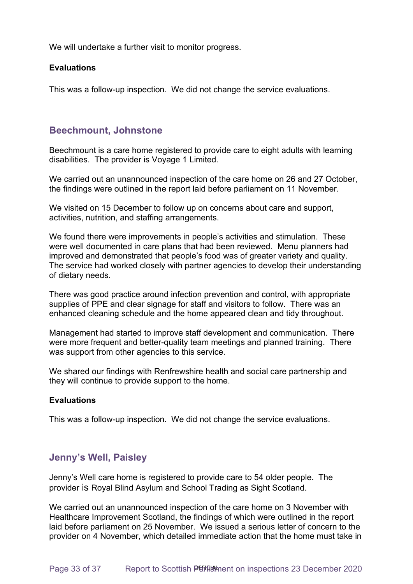We will undertake a further visit to monitor progress.

#### **Evaluations**

This was a follow-up inspection. We did not change the service evaluations.

### **Beechmount, Johnstone**

Beechmount is a care home registered to provide care to eight adults with learning disabilities. The provider is Voyage 1 Limited.

We carried out an unannounced inspection of the care home on 26 and 27 October, the findings were outlined in the report laid before parliament on 11 November.

We visited on 15 December to follow up on concerns about care and support, activities, nutrition, and staffing arrangements.

We found there were improvements in people's activities and stimulation. These were well documented in care plans that had been reviewed. Menu planners had improved and demonstrated that people's food was of greater variety and quality. The service had worked closely with partner agencies to develop their understanding of dietary needs.

There was good practice around infection prevention and control, with appropriate supplies of PPE and clear signage for staff and visitors to follow. There was an enhanced cleaning schedule and the home appeared clean and tidy throughout.

Management had started to improve staff development and communication. There were more frequent and better-quality team meetings and planned training. There was support from other agencies to this service.

We shared our findings with Renfrewshire health and social care partnership and they will continue to provide support to the home. 

#### **Evaluations**

This was a follow-up inspection. We did not change the service evaluations.

### **Jenny's Well, Paisley**

Jenny's Well care home is registered to provide care to 54 older people. The provider is Royal Blind Asylum and School Trading as Sight Scotland.

We carried out an unannounced inspection of the care home on 3 November with Healthcare Improvement Scotland, the findings of which were outlined in the report laid before parliament on 25 November. We issued a serious letter of concern to the provider on 4 November, which detailed immediate action that the home must take in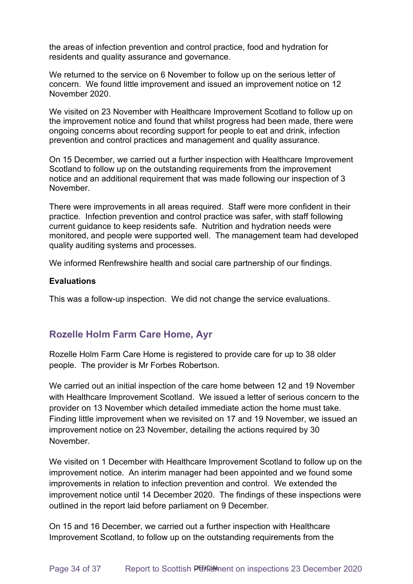the areas of infection prevention and control practice, food and hydration for residents and quality assurance and governance.

We returned to the service on 6 November to follow up on the serious letter of concern. We found little improvement and issued an improvement notice on 12 November 2020.

We visited on 23 November with Healthcare Improvement Scotland to follow up on the improvement notice and found that whilst progress had been made, there were ongoing concerns about recording support for people to eat and drink, infection prevention and control practices and management and quality assurance.

On 15 December, we carried out a further inspection with Healthcare Improvement Scotland to follow up on the outstanding requirements from the improvement notice and an additional requirement that was made following our inspection of 3 November.

There were improvements in all areas required. Staff were more confident in their practice. Infection prevention and control practice was safer, with staff following current guidance to keep residents safe. Nutrition and hydration needs were monitored, and people were supported well. The management team had developed quality auditing systems and processes.

We informed Renfrewshire health and social care partnership of our findings.

#### **Evaluations**

This was a follow-up inspection. We did not change the service evaluations.

### **Rozelle Holm Farm Care Home, Ayr**

Rozelle Holm Farm Care Home is registered to provide care for up to 38 older people. The provider is Mr Forbes Robertson.

We carried out an initial inspection of the care home between 12 and 19 November with Healthcare Improvement Scotland. We issued a letter of serious concern to the provider on 13 November which detailed immediate action the home must take. Finding little improvement when we revisited on 17 and 19 November, we issued an improvement notice on 23 November, detailing the actions required by 30 November.

We visited on 1 December with Healthcare Improvement Scotland to follow up on the improvement notice. An interim manager had been appointed and we found some improvements in relation to infection prevention and control. We extended the improvement notice until 14 December 2020. The findings of these inspections were outlined in the report laid before parliament on 9 December.

On 15 and 16 December, we carried out a further inspection with Healthcare Improvement Scotland, to follow up on the outstanding requirements from the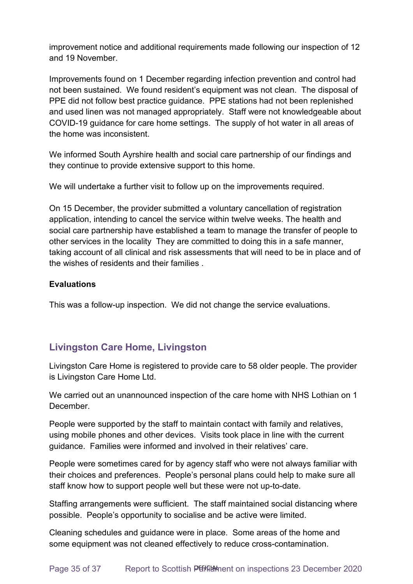improvement notice and additional requirements made following our inspection of 12 and 19 November.

Improvements found on 1 December regarding infection prevention and control had not been sustained. We found resident's equipment was not clean. The disposal of PPE did not follow best practice guidance. PPE stations had not been replenished and used linen was not managed appropriately. Staff were not knowledgeable about COVID-19 guidance for care home settings. The supply of hot water in all areas of the home was inconsistent.

We informed South Ayrshire health and social care partnership of our findings and they continue to provide extensive support to this home.

We will undertake a further visit to follow up on the improvements required.

On 15 December, the provider submitted a voluntary cancellation of registration application, intending to cancel the service within twelve weeks. The health and social care partnership have established a team to manage the transfer of people to other services in the locality They are committed to doing this in a safe manner, taking account of all clinical and risk assessments that will need to be in place and of the wishes of residents and their families .

### **Evaluations**

This was a follow-up inspection. We did not change the service evaluations.

### **Livingston Care Home, Livingston**

Livingston Care Home is registered to provide care to 58 older people. The provider is Livingston Care Home Ltd.

We carried out an unannounced inspection of the care home with NHS Lothian on 1 December.

People were supported by the staff to maintain contact with family and relatives, using mobile phones and other devices. Visits took place in line with the current guidance. Families were informed and involved in their relatives' care.

People were sometimes cared for by agency staff who were not always familiar with their choices and preferences. People's personal plans could help to make sure all staff know how to support people well but these were not up-to-date.

Staffing arrangements were sufficient. The staff maintained social distancing where possible. People's opportunity to socialise and be active were limited.

Cleaning schedules and guidance were in place. Some areas of the home and some equipment was not cleaned effectively to reduce cross-contamination.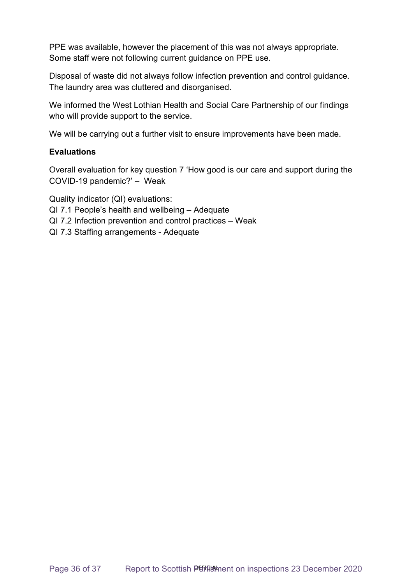PPE was available, however the placement of this was not always appropriate. Some staff were not following current guidance on PPE use.

Disposal of waste did not always follow infection prevention and control guidance. The laundry area was cluttered and disorganised.

We informed the West Lothian Health and Social Care Partnership of our findings who will provide support to the service.

We will be carrying out a further visit to ensure improvements have been made.

#### **Evaluations**

Overall evaluation for key question 7 'How good is our care and support during the COVID-19 pandemic?' – Weak

Quality indicator (QI) evaluations:

- QI 7.1 People's health and wellbeing Adequate
- QI 7.2 Infection prevention and control practices Weak
- QI 7.3 Staffing arrangements Adequate